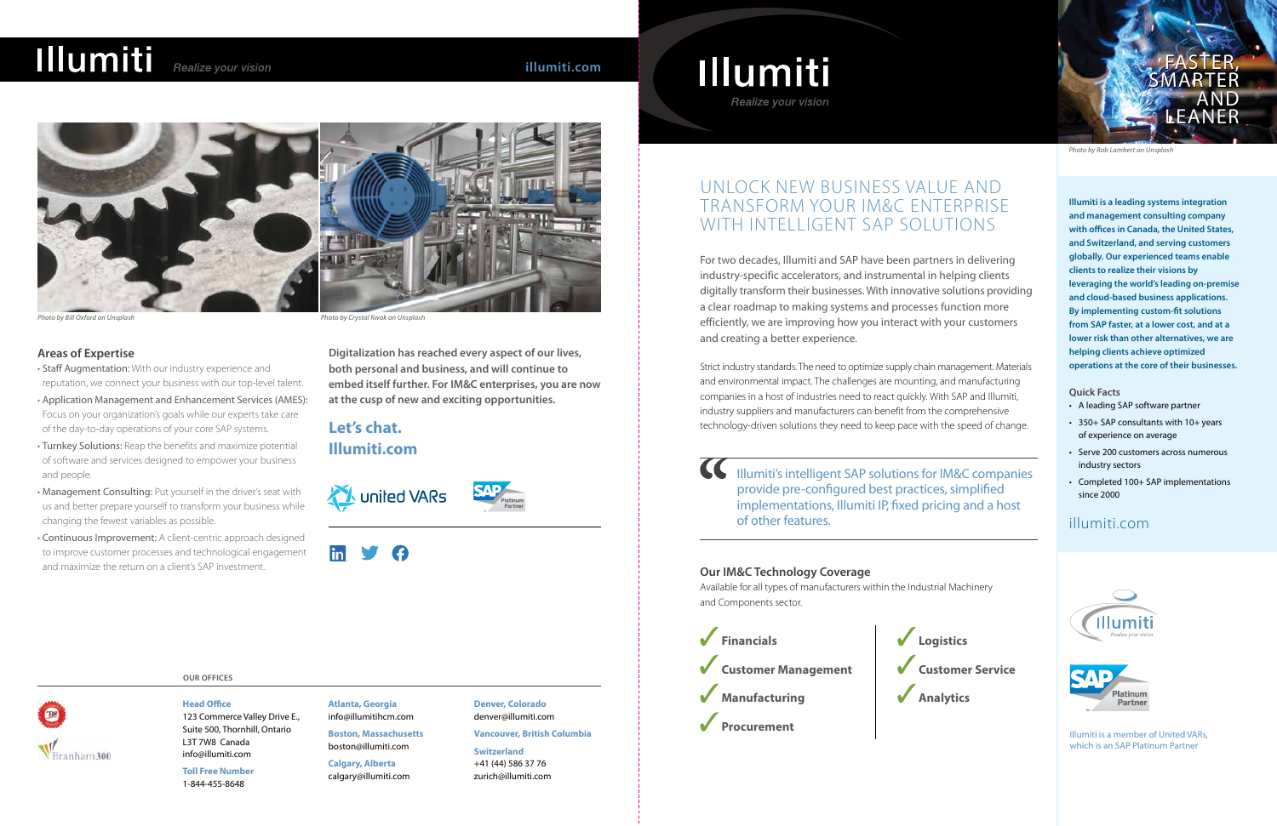For two decades, Illumiti and SAP have been partners in delivering industry-specific accelerators, and instrumental in helping clients digitally transform their businesses. With innovative solutions providing a clear roadmap to making systems and processes function more efficiently, we are improving how you interact with your customers and creating a better experience.

## UNLOCK NEW BUSINESS VALUE AND TRANSFORM YOUR IM&C ENTERPRISE WITH INTELLIGENT SAP SOLUTIONS

Strict industry standards. The need to optimize supply chain management. Materials and environmental impact. The challenges are mounting, and manufacturing companies in a host of industries need to react quickly. With SAP and Illumiti, industry suppliers and manufacturers can benefit from the comprehensive technology-driven solutions they need to keep pace with the speed of change.



*Photo by Rob Lambert on Unsplash*

**Illumiti is a leading systems integration and management consulting company with offices in Canada, the United States, and Switzerland, and serving customers globally. Our experienced teams enable clients to realize their visions by leveraging the world's leading on-premise and cloud-based business applications. By implementing custom-fit solutions from SAP faster, at a lower cost, and at a lower risk than other alternatives, we are helping clients achieve optimized operations at the core of their businesses.**

 $\alpha$ Illumiti's intelligent SAP solutions for IM&C companies provide pre-configured best practices, simplified implementations, Illumiti IP, fixed pricing and a host of other features.

### **Quick Facts**

- A leading SAP software partner
- 350+ SAP consultants with 10+ years of experience on average
- Serve 200 customers across numerous industry sectors
- Completed 100+ SAP implementations since 2000

## illumiti.com





Illumiti is a member of United VARs, which is an SAP Platinum Partner

## Illumiti Realize your vision





*Photo by Bill Oxford on Unsplash Photo by Crystal Kwok on Unsplash*

**Logistics Customer Service Analytics**

### **OUR OFFICES**

Branham 300

**Atlanta, Georgia** info@illumitihcm.com

**Boston, Massachusetts** boston@illumiti.com

**Calgary, Alberta** calgary@illumiti.com **Denver, Colorado** denver@illumiti.com

### **Vancouver, British Columbia**

**Switzerland** +41 (44) 586 37 76 zurich@illumiti.com



## **Head Office**

123 Commerce Valley Drive E., Suite 500, Thornhill, Ontario L3T 7W8 Canada info@illumiti.com

**Toll Free Number** 1-844-455-8648



### **Our IM&C Technology Coverage**

Available for all types of manufacturers within the Industrial Machinery and Components sector.

### **Areas of Expertise**

- Staff Augmentation: With our industry experience and reputation, we connect your business with our top-level talent.
- Application Management and Enhancement Services (AMES): Focus on your organization's goals while our experts take care of the day-to-day operations of your core SAP systems.
- Turnkey Solutions: Reap the benefits and maximize potential of software and services designed to empower your business and people.
- Management Consulting: Put yourself in the driver's seat with us and better prepare yourself to transform your business while changing the fewest variables as possible.
- Continuous Improvement: A client-centric approach designed to improve customer processes and technological engagement and maximize the return on a client's SAP investment.

**Digitalization has reached every aspect of our lives, both personal and business, and will continue to embed itself further. For IM&C enterprises, you are now at the cusp of new and exciting opportunities.**

**Let's chat. Illumiti.com**







# illumiti.com<br>
Faster Faster Faster of Tables 1110 miti Realize your vision